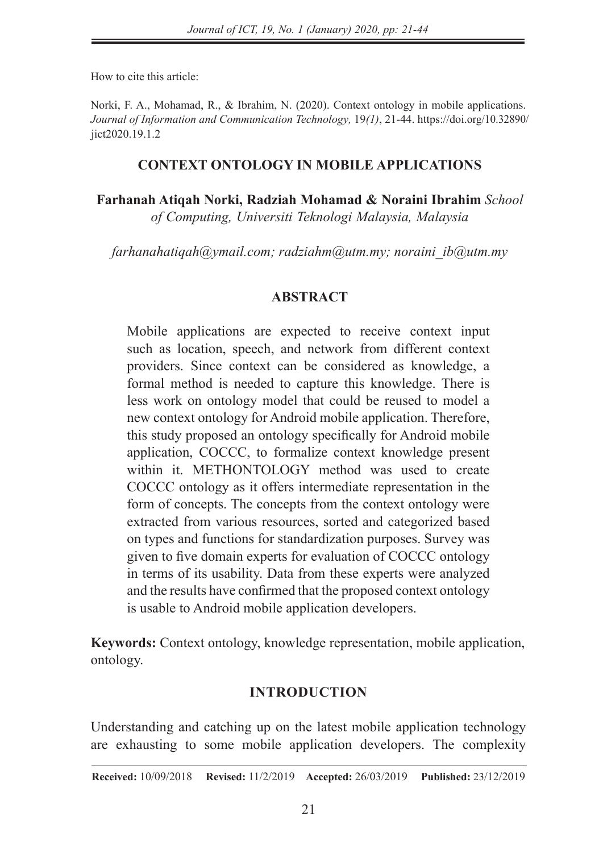How to cite this article:

Norki, F. A., Mohamad, R., & Ibrahim, N. (2020). Context ontology in mobile applications. *Journal of Information and Communication Technology,* 19*(1)*, 21-44. https://doi.org/10.32890/ iict2020.19.1.2

## **CONTEXT ONTOLOGY IN MOBILE APPLICATIONS**

**Farhanah Atiqah Norki, Radziah Mohamad & Noraini Ibrahim** *School of Computing, Universiti Teknologi Malaysia, Malaysia*

*farhanahatiqah@ymail.com; radziahm@utm.my; noraini\_ib@utm.my*

### **ABSTRACT**

Mobile applications are expected to receive context input such as location, speech, and network from different context providers. Since context can be considered as knowledge, a formal method is needed to capture this knowledge. There is less work on ontology model that could be reused to model a new context ontology for Android mobile application. Therefore, this study proposed an ontology specifically for Android mobile application, COCCC, to formalize context knowledge present within it. METHONTOLOGY method was used to create COCCC ontology as it offers intermediate representation in the form of concepts. The concepts from the context ontology were extracted from various resources, sorted and categorized based on types and functions for standardization purposes. Survey was given to five domain experts for evaluation of COCCC ontology in terms of its usability. Data from these experts were analyzed and the results have confirmed that the proposed context ontology is usable to Android mobile application developers.

**Keywords:** Context ontology, knowledge representation, mobile application, ontology.

### **INTRODUCTION**

Understanding and catching up on the latest mobile application technology are exhausting to some mobile application developers. The complexity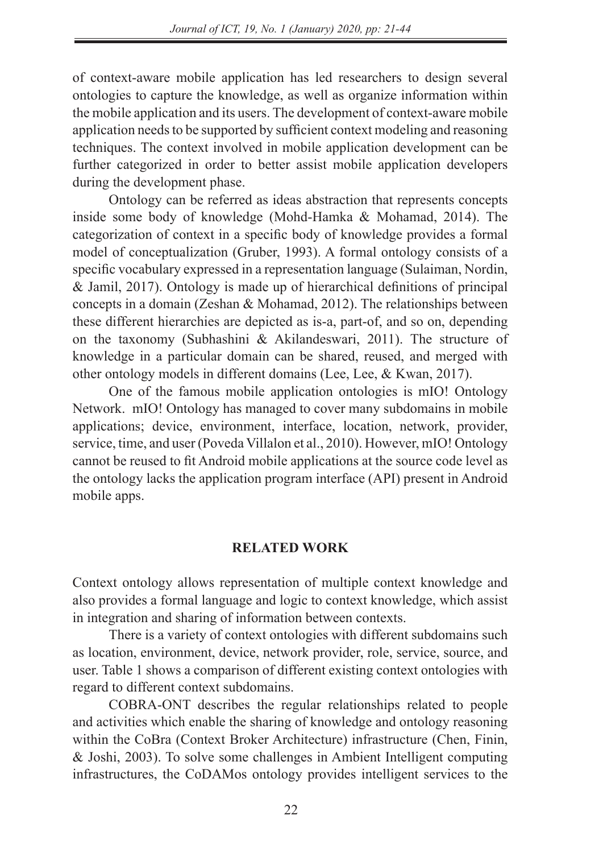of context-aware mobile application has led researchers to design several ontologies to capture the knowledge, as well as organize information within the mobile application and its users. The development of context-aware mobile application needs to be supported by sufficient context modeling and reasoning techniques. The context involved in mobile application development can be further categorized in order to better assist mobile application developers during the development phase.

Ontology can be referred as ideas abstraction that represents concepts inside some body of knowledge (Mohd-Hamka & Mohamad, 2014). The categorization of context in a specific body of knowledge provides a formal model of conceptualization (Gruber, 1993). A formal ontology consists of a specific vocabulary expressed in a representation language (Sulaiman, Nordin, & Jamil, 2017). Ontology is made up of hierarchical definitions of principal concepts in a domain (Zeshan & Mohamad, 2012). The relationships between these different hierarchies are depicted as is-a, part-of, and so on, depending on the taxonomy (Subhashini & Akilandeswari, 2011). The structure of knowledge in a particular domain can be shared, reused, and merged with other ontology models in different domains (Lee, Lee, & Kwan, 2017).

One of the famous mobile application ontologies is mIO! Ontology Network. mIO! Ontology has managed to cover many subdomains in mobile applications; device, environment, interface, location, network, provider, service, time, and user (Poveda Villalon et al., 2010). However, mIO! Ontology cannot be reused to fit Android mobile applications at the source code level as the ontology lacks the application program interface (API) present in Android mobile apps.

### **RELATED WORK**

Context ontology allows representation of multiple context knowledge and also provides a formal language and logic to context knowledge, which assist in integration and sharing of information between contexts.

There is a variety of context ontologies with different subdomains such as location, environment, device, network provider, role, service, source, and user. Table 1 shows a comparison of different existing context ontologies with regard to different context subdomains.

COBRA-ONT describes the regular relationships related to people and activities which enable the sharing of knowledge and ontology reasoning within the CoBra (Context Broker Architecture) infrastructure (Chen, Finin, & Joshi, 2003). To solve some challenges in Ambient Intelligent computing infrastructures, the CoDAMos ontology provides intelligent services to the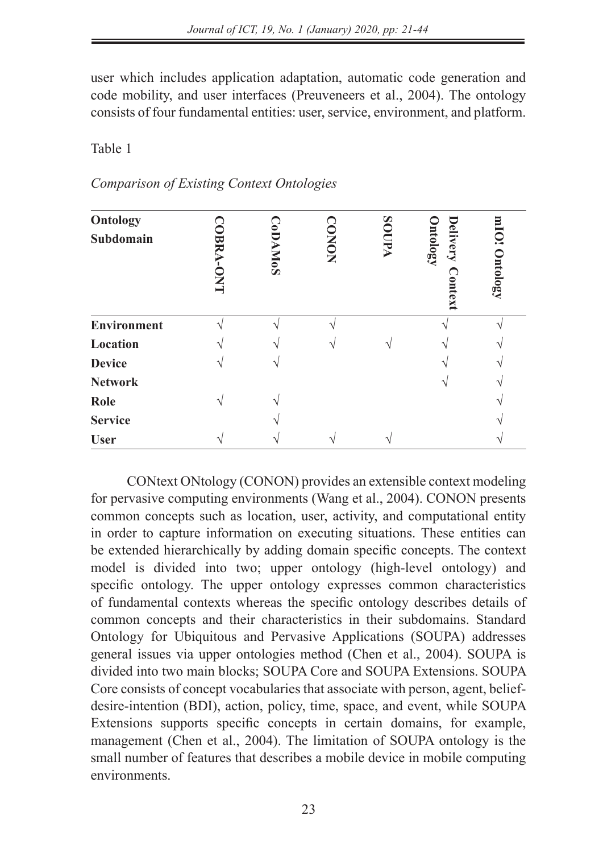user which includes application adaptation, automatic code generation and code mobility, and user interfaces (Preuveneers et al., 2004). The ontology consists of four fundamental entities: user, service, environment, and platform.

Table 1

| Comparison of Existing Context Ontologies |  |  |  |  |  |
|-------------------------------------------|--|--|--|--|--|
|-------------------------------------------|--|--|--|--|--|

| Ontology<br>Subdomain | Ř<br><b>LNO-7</b> | $\widetilde{\mathsf{E}}$<br><b>AMOS</b> | <b>CONON</b> | <b>AUOS</b> | <b>Delivery</b><br><b>Dutology</b><br>ontext | mIO! Ontology |
|-----------------------|-------------------|-----------------------------------------|--------------|-------------|----------------------------------------------|---------------|
| Environment           |                   |                                         |              |             |                                              |               |
| Location              |                   |                                         |              |             |                                              |               |
| <b>Device</b>         |                   |                                         |              |             |                                              |               |
| <b>Network</b>        |                   |                                         |              |             |                                              |               |
| Role                  |                   |                                         |              |             |                                              |               |
| <b>Service</b>        |                   |                                         |              |             |                                              |               |
| <b>User</b>           |                   |                                         |              |             |                                              |               |

CONtext ONtology (CONON) provides an extensible context modeling for pervasive computing environments (Wang et al., 2004). CONON presents common concepts such as location, user, activity, and computational entity in order to capture information on executing situations. These entities can be extended hierarchically by adding domain specific concepts. The context model is divided into two; upper ontology (high-level ontology) and specific ontology. The upper ontology expresses common characteristics of fundamental contexts whereas the specific ontology describes details of common concepts and their characteristics in their subdomains. Standard Ontology for Ubiquitous and Pervasive Applications (SOUPA) addresses general issues via upper ontologies method (Chen et al., 2004). SOUPA is divided into two main blocks; SOUPA Core and SOUPA Extensions. SOUPA Core consists of concept vocabularies that associate with person, agent, beliefdesire-intention (BDI), action, policy, time, space, and event, while SOUPA Extensions supports specific concepts in certain domains, for example, management (Chen et al., 2004). The limitation of SOUPA ontology is the small number of features that describes a mobile device in mobile computing environments.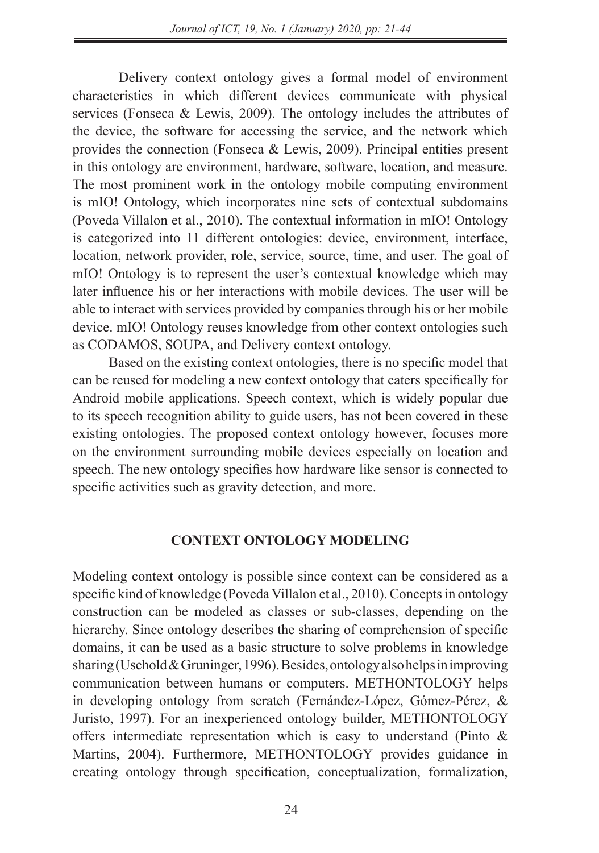Delivery context ontology gives a formal model of environment characteristics in which different devices communicate with physical services (Fonseca & Lewis, 2009). The ontology includes the attributes of the device, the software for accessing the service, and the network which provides the connection (Fonseca & Lewis, 2009). Principal entities present in this ontology are environment, hardware, software, location, and measure. The most prominent work in the ontology mobile computing environment is mIO! Ontology, which incorporates nine sets of contextual subdomains (Poveda Villalon et al., 2010). The contextual information in mIO! Ontology is categorized into 11 different ontologies: device, environment, interface, location, network provider, role, service, source, time, and user. The goal of mIO! Ontology is to represent the user's contextual knowledge which may later influence his or her interactions with mobile devices. The user will be able to interact with services provided by companies through his or her mobile device. mIO! Ontology reuses knowledge from other context ontologies such as CODAMOS, SOUPA, and Delivery context ontology.

Based on the existing context ontologies, there is no specific model that can be reused for modeling a new context ontology that caters specifically for Android mobile applications. Speech context, which is widely popular due to its speech recognition ability to guide users, has not been covered in these existing ontologies. The proposed context ontology however, focuses more on the environment surrounding mobile devices especially on location and speech. The new ontology specifies how hardware like sensor is connected to specific activities such as gravity detection, and more.

### **CONTEXT ONTOLOGY MODELING**

Modeling context ontology is possible since context can be considered as a specific kind of knowledge (Poveda Villalon et al., 2010). Concepts in ontology construction can be modeled as classes or sub-classes, depending on the hierarchy. Since ontology describes the sharing of comprehension of specific domains, it can be used as a basic structure to solve problems in knowledge sharing (Uschold & Gruninger, 1996). Besides, ontology also helps in improving communication between humans or computers. METHONTOLOGY helps in developing ontology from scratch (Fernández-López, Gómez-Pérez, & Juristo, 1997). For an inexperienced ontology builder, METHONTOLOGY offers intermediate representation which is easy to understand (Pinto & Martins, 2004). Furthermore, METHONTOLOGY provides guidance in creating ontology through specification, conceptualization, formalization,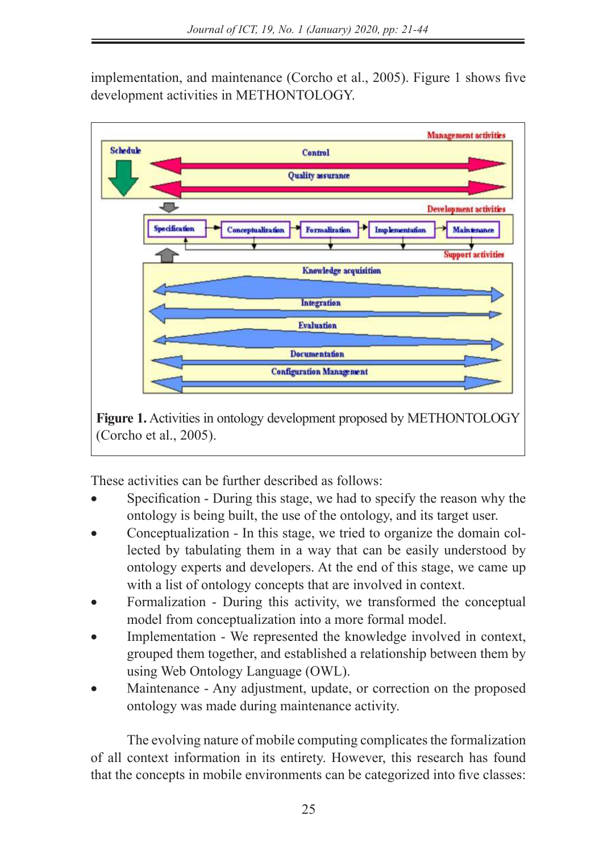implementation, and maintenance (Corcho et al., 2005). Figure 1 shows five development activities in METHONTOLOGY.



**Figure 1.** Activities in ontology development proposed by METHONTOLOGY (Corcho et al., 2005).

These activities can be further described as follows:

- Specification During this stage, we had to specify the reason why the ontology is being built, the use of the ontology, and its target user.
- Conceptualization In this stage, we tried to organize the domain collected by tabulating them in a way that can be easily understood by ontology experts and developers. At the end of this stage, we came up with a list of ontology concepts that are involved in context.
- Formalization During this activity, we transformed the conceptual model from conceptualization into a more formal model.
- Implementation We represented the knowledge involved in context, grouped them together, and established a relationship between them by using Web Ontology Language (OWL).
- Maintenance Any adjustment, update, or correction on the proposed ontology was made during maintenance activity.

The evolving nature of mobile computing complicates the formalization of all context information in its entirety. However, this research has found that the concepts in mobile environments can be categorized into five classes: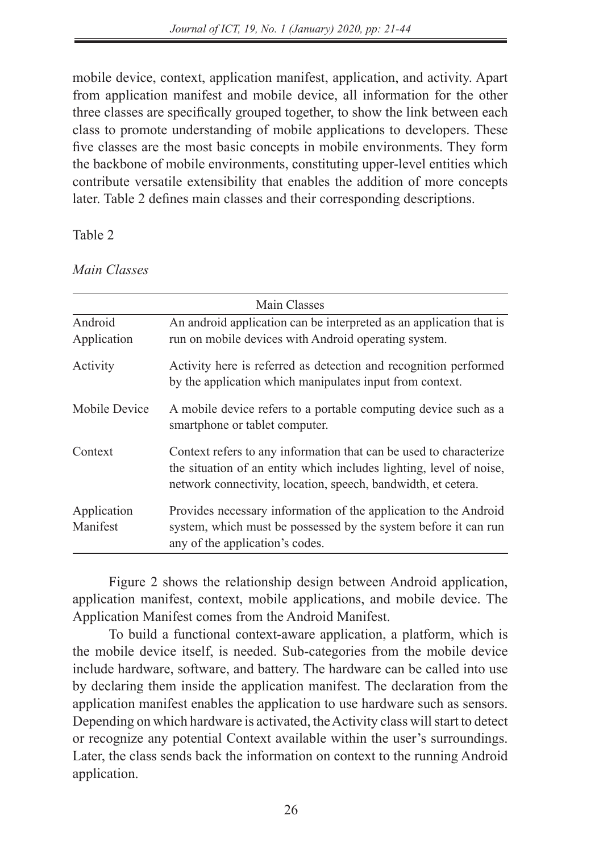mobile device, context, application manifest, application, and activity. Apart from application manifest and mobile device, all information for the other three classes are specifically grouped together, to show the link between each class to promote understanding of mobile applications to developers. These five classes are the most basic concepts in mobile environments. They form the backbone of mobile environments, constituting upper-level entities which contribute versatile extensibility that enables the addition of more concepts later. Table 2 defines main classes and their corresponding descriptions.

Table 2

*Main Classes*

|                         | <b>Main Classes</b>                                                                                                                                                                                        |  |  |  |  |
|-------------------------|------------------------------------------------------------------------------------------------------------------------------------------------------------------------------------------------------------|--|--|--|--|
| Android<br>Application  | An android application can be interpreted as an application that is<br>run on mobile devices with Android operating system.                                                                                |  |  |  |  |
| Activity                | Activity here is referred as detection and recognition performed<br>by the application which manipulates input from context.                                                                               |  |  |  |  |
| Mobile Device           | A mobile device refers to a portable computing device such as a<br>smartphone or tablet computer.                                                                                                          |  |  |  |  |
| Context                 | Context refers to any information that can be used to characterize<br>the situation of an entity which includes lighting, level of noise,<br>network connectivity, location, speech, bandwidth, et cetera. |  |  |  |  |
| Application<br>Manifest | Provides necessary information of the application to the Android<br>system, which must be possessed by the system before it can run<br>any of the application's codes.                                     |  |  |  |  |

Figure 2 shows the relationship design between Android application, application manifest, context, mobile applications, and mobile device. The Application Manifest comes from the Android Manifest.

To build a functional context-aware application, a platform, which is the mobile device itself, is needed. Sub-categories from the mobile device include hardware, software, and battery. The hardware can be called into use by declaring them inside the application manifest. The declaration from the application manifest enables the application to use hardware such as sensors. Depending on which hardware is activated, the Activity class will start to detect or recognize any potential Context available within the user's surroundings. Later, the class sends back the information on context to the running Android application.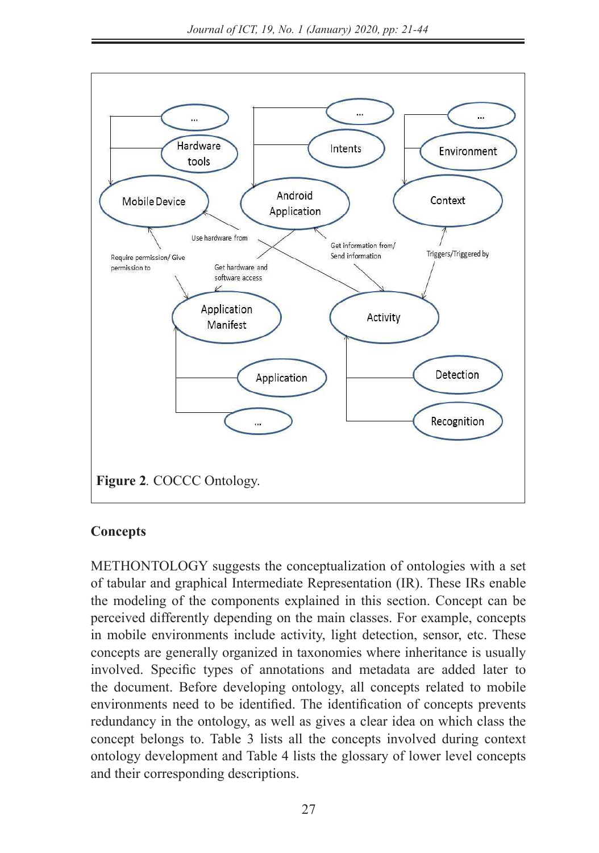

## **Concepts**

METHONTOLOGY suggests the conceptualization of ontologies with a set of tabular and graphical Intermediate Representation (IR). These IRs enable the modeling of the components explained in this section. Concept can be perceived differently depending on the main classes. For example, concepts in mobile environments include activity, light detection, sensor, etc. These concepts are generally organized in taxonomies where inheritance is usually involved. Specific types of annotations and metadata are added later to the document. Before developing ontology, all concepts related to mobile environments need to be identified. The identification of concepts prevents redundancy in the ontology, as well as gives a clear idea on which class the concept belongs to. Table 3 lists all the concepts involved during context ontology development and Table 4 lists the glossary of lower level concepts and their corresponding descriptions.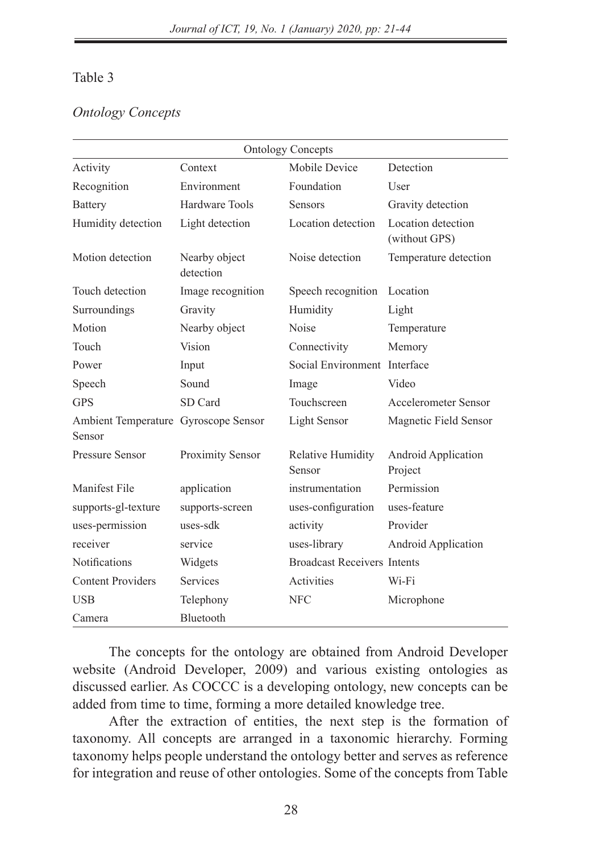## Table 3

## *Ontology Concepts*

| <b>Ontology Concepts</b>                       |                            |                                    |                                     |  |  |
|------------------------------------------------|----------------------------|------------------------------------|-------------------------------------|--|--|
| Activity                                       | Context                    | Mobile Device                      | Detection                           |  |  |
| Recognition                                    | Environment                | Foundation                         | User                                |  |  |
| <b>Battery</b>                                 | Hardware Tools             | <b>Sensors</b>                     | Gravity detection                   |  |  |
| Humidity detection                             | Light detection            | Location detection                 | Location detection<br>(without GPS) |  |  |
| Motion detection                               | Nearby object<br>detection | Noise detection                    | Temperature detection               |  |  |
| Touch detection                                | Image recognition          | Speech recognition                 | Location                            |  |  |
| Surroundings                                   | Gravity                    | Humidity                           | Light                               |  |  |
| Motion                                         | Nearby object              | Noise                              | Temperature                         |  |  |
| Touch                                          | Vision                     | Connectivity                       | Memory                              |  |  |
| Power                                          | Input                      | Social Environment Interface       |                                     |  |  |
| Speech                                         | Sound                      | Image                              | Video                               |  |  |
| <b>GPS</b>                                     | SD Card                    | Touchscreen                        | Accelerometer Sensor                |  |  |
| Ambient Temperature Gyroscope Sensor<br>Sensor |                            | Light Sensor                       | Magnetic Field Sensor               |  |  |
| <b>Pressure Sensor</b>                         | Proximity Sensor           | Relative Humidity<br>Sensor        | Android Application<br>Project      |  |  |
| Manifest File                                  | application                | instrumentation                    | Permission                          |  |  |
| supports-gl-texture                            | supports-screen            | uses-configuration                 | uses-feature                        |  |  |
| uses-permission                                | uses-sdk                   | activity                           | Provider                            |  |  |
| receiver                                       | service                    | uses-library                       | Android Application                 |  |  |
| Notifications                                  | Widgets                    | <b>Broadcast Receivers Intents</b> |                                     |  |  |
| <b>Content Providers</b>                       | <b>Services</b>            | Activities                         | Wi-Fi                               |  |  |
| <b>USB</b>                                     | Telephony                  | <b>NFC</b>                         | Microphone                          |  |  |
| Camera                                         | Bluetooth                  |                                    |                                     |  |  |

The concepts for the ontology are obtained from Android Developer website (Android Developer, 2009) and various existing ontologies as discussed earlier. As COCCC is a developing ontology, new concepts can be added from time to time, forming a more detailed knowledge tree.

After the extraction of entities, the next step is the formation of taxonomy. All concepts are arranged in a taxonomic hierarchy. Forming taxonomy helps people understand the ontology better and serves as reference for integration and reuse of other ontologies. Some of the concepts from Table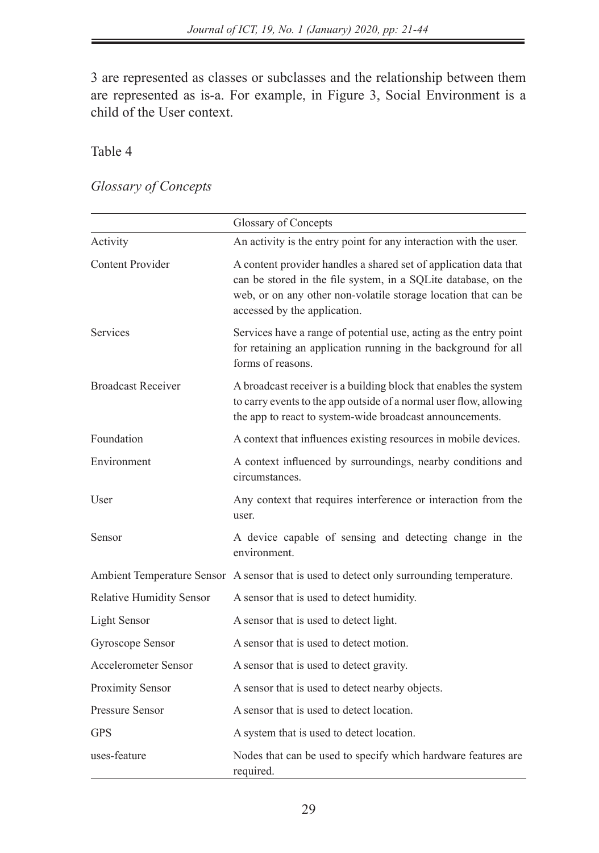3 are represented as classes or subclasses and the relationship between them are represented as is-a. For example, in Figure 3, Social Environment is a child of the User context.

## Table 4

## *Glossary of Concepts*

|                             | Glossary of Concepts                                                                                                                                                                                                                 |
|-----------------------------|--------------------------------------------------------------------------------------------------------------------------------------------------------------------------------------------------------------------------------------|
| Activity                    | An activity is the entry point for any interaction with the user.                                                                                                                                                                    |
| <b>Content Provider</b>     | A content provider handles a shared set of application data that<br>can be stored in the file system, in a SQLite database, on the<br>web, or on any other non-volatile storage location that can be<br>accessed by the application. |
| Services                    | Services have a range of potential use, acting as the entry point<br>for retaining an application running in the background for all<br>forms of reasons.                                                                             |
| <b>Broadcast Receiver</b>   | A broadcast receiver is a building block that enables the system<br>to carry events to the app outside of a normal user flow, allowing<br>the app to react to system-wide broadcast announcements.                                   |
| Foundation                  | A context that influences existing resources in mobile devices.                                                                                                                                                                      |
| Environment                 | A context influenced by surroundings, nearby conditions and<br>circumstances.                                                                                                                                                        |
| User                        | Any context that requires interference or interaction from the<br>user.                                                                                                                                                              |
| Sensor                      | A device capable of sensing and detecting change in the<br>environment.                                                                                                                                                              |
|                             | Ambient Temperature Sensor A sensor that is used to detect only surrounding temperature.                                                                                                                                             |
| Relative Humidity Sensor    | A sensor that is used to detect humidity.                                                                                                                                                                                            |
| Light Sensor                | A sensor that is used to detect light.                                                                                                                                                                                               |
| Gyroscope Sensor            | A sensor that is used to detect motion.                                                                                                                                                                                              |
| <b>Accelerometer Sensor</b> | A sensor that is used to detect gravity.                                                                                                                                                                                             |
| Proximity Sensor            | A sensor that is used to detect nearby objects.                                                                                                                                                                                      |
| <b>Pressure Sensor</b>      | A sensor that is used to detect location.                                                                                                                                                                                            |
| <b>GPS</b>                  | A system that is used to detect location.                                                                                                                                                                                            |
| uses-feature                | Nodes that can be used to specify which hardware features are<br>required.                                                                                                                                                           |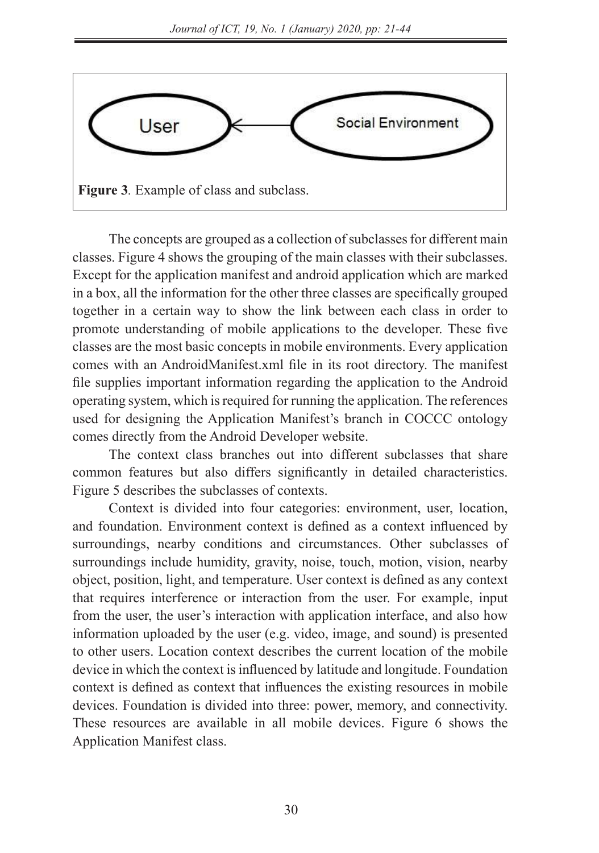

The concepts are grouped as a collection of subclasses for different main classes. Figure 4 shows the grouping of the main classes with their subclasses. Except for the application manifest and android application which are marked in a box, all the information for the other three classes are specifically grouped together in a certain way to show the link between each class in order to promote understanding of mobile applications to the developer. These five classes are the most basic concepts in mobile environments. Every application comes with an AndroidManifest.xml file in its root directory. The manifest file supplies important information regarding the application to the Android operating system, which is required for running the application. The references used for designing the Application Manifest's branch in COCCC ontology comes directly from the Android Developer website.

The context class branches out into different subclasses that share common features but also differs significantly in detailed characteristics. Figure 5 describes the subclasses of contexts.

Context is divided into four categories: environment, user, location, and foundation. Environment context is defined as a context influenced by surroundings, nearby conditions and circumstances. Other subclasses of surroundings include humidity, gravity, noise, touch, motion, vision, nearby object, position, light, and temperature. User context is defined as any context that requires interference or interaction from the user. For example, input from the user, the user's interaction with application interface, and also how information uploaded by the user (e.g. video, image, and sound) is presented to other users. Location context describes the current location of the mobile device in which the context is influenced by latitude and longitude. Foundation context is defined as context that influences the existing resources in mobile devices. Foundation is divided into three: power, memory, and connectivity. These resources are available in all mobile devices. Figure 6 shows the Application Manifest class.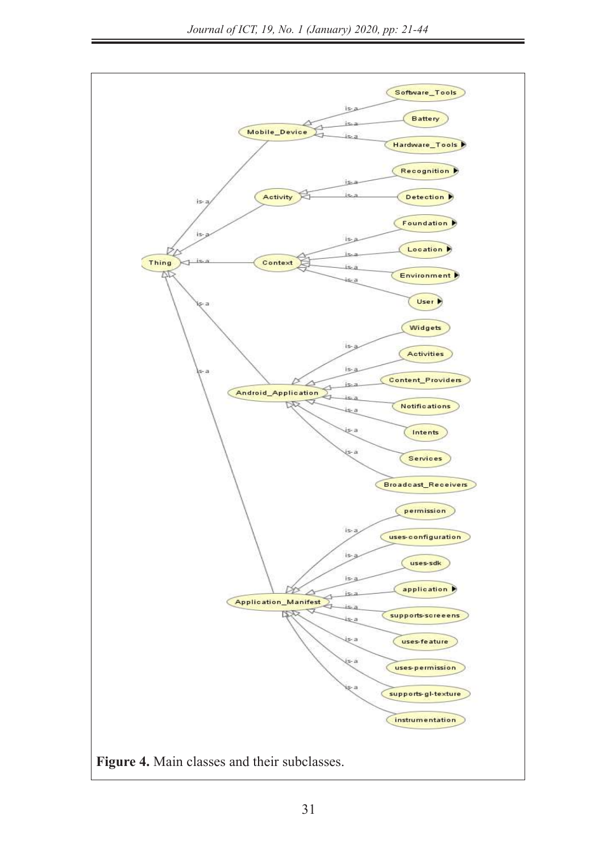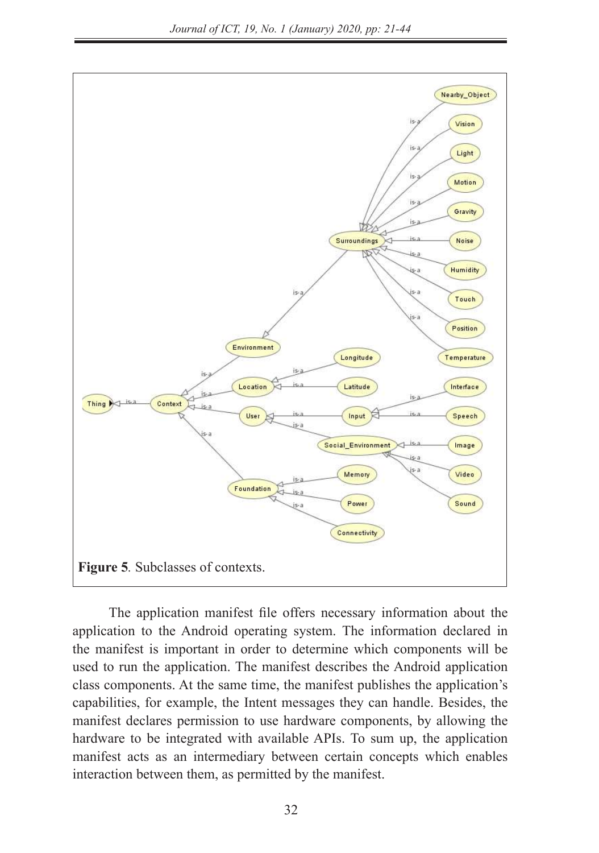

The application manifest file offers necessary information about the application to the Android operating system. The information declared in the manifest is important in order to determine which components will be used to run the application. The manifest describes the Android application class components. At the same time, the manifest publishes the application's capabilities, for example, the Intent messages they can handle. Besides, the manifest declares permission to use hardware components, by allowing the hardware to be integrated with available APIs. To sum up, the application manifest acts as an intermediary between certain concepts which enables interaction between them, as permitted by the manifest.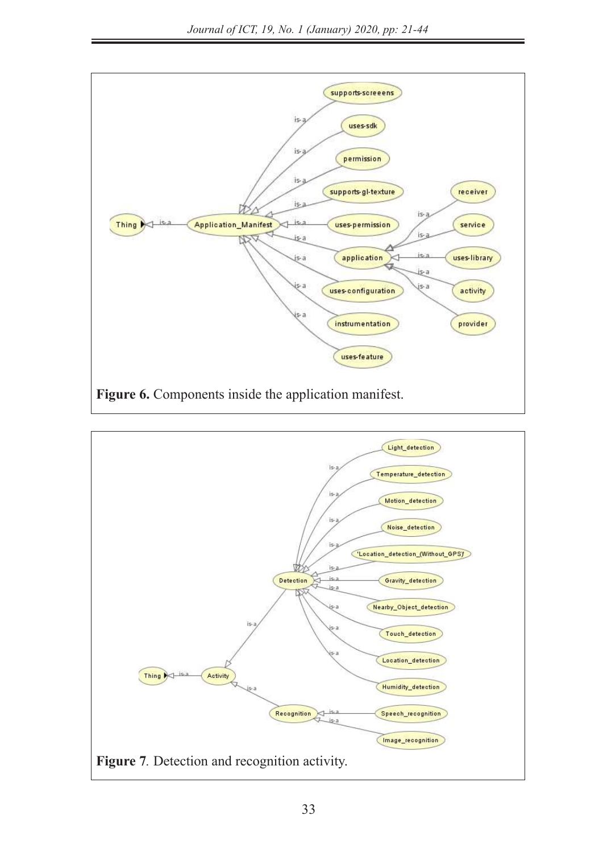

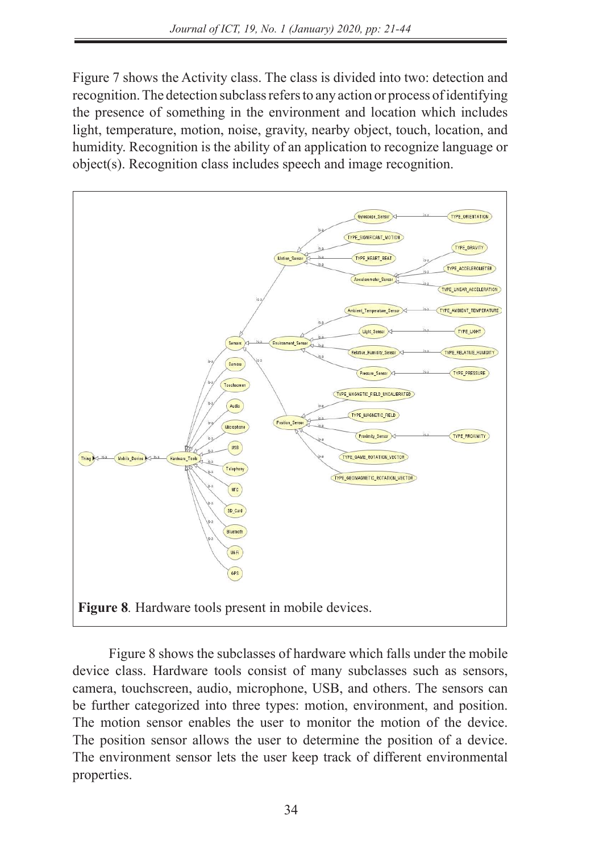Figure 7 shows the Activity class. The class is divided into two: detection and recognition. The detection subclass refers to any action or process of identifying the presence of something in the environment and location which includes light, temperature, motion, noise, gravity, nearby object, touch, location, and humidity. Recognition is the ability of an application to recognize language or object(s). Recognition class includes speech and image recognition.



Figure 8 shows the subclasses of hardware which falls under the mobile device class. Hardware tools consist of many subclasses such as sensors, camera, touchscreen, audio, microphone, USB, and others. The sensors can be further categorized into three types: motion, environment, and position. The motion sensor enables the user to monitor the motion of the device. The position sensor allows the user to determine the position of a device. The environment sensor lets the user keep track of different environmental properties.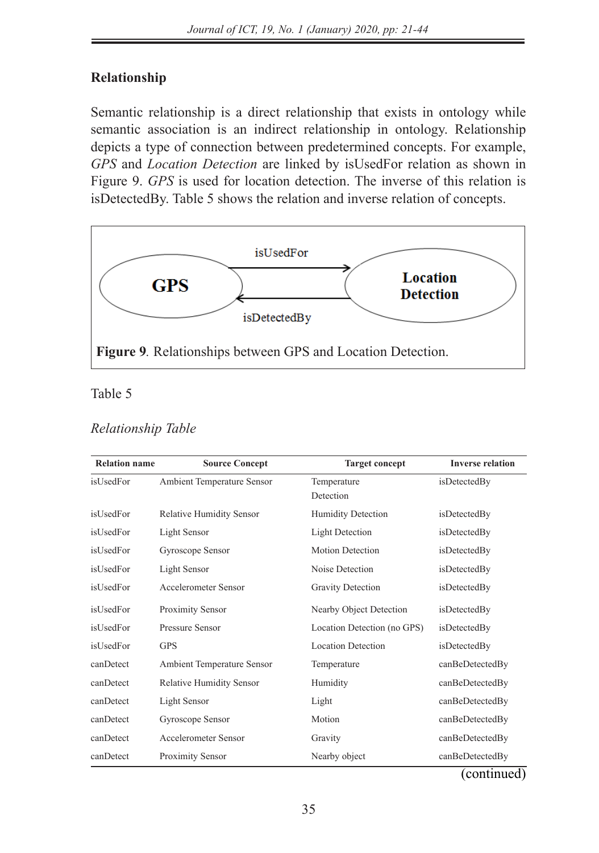## **Relationship**

**Relationship**

Semantic relationship is a direct relationship that exists in ontology while semantic association is an indirect relationship in ontology. Relationship depicts a type of connection between predetermined concepts. For example, GPS and *Location Detection* are linked by isUsedFor relation as shown in Figure 9. *GPS* is used for location detection. The inverse of this relation is isDetectedBy. Table 5 shows the relation and inverse relation of concepts.



## Table 5 Table 5

#### *Relationship Table Relationship Table*

| <b>Relation name</b> | <b>Source Concept</b>           | <b>Target concept</b>       | <b>Inverse relation</b> |
|----------------------|---------------------------------|-----------------------------|-------------------------|
| isUsedFor            | Ambient Temperature Sensor      | Temperature<br>Detection    | isDetectedBy            |
| isUsedFor            | <b>Relative Humidity Sensor</b> | <b>Humidity Detection</b>   | isDetectedBy            |
| isUsedFor            | Light Sensor                    | <b>Light Detection</b>      | isDetectedBy            |
| isUsedFor            | Gyroscope Sensor                | <b>Motion Detection</b>     | isDetectedBy            |
| isUsedFor            | Light Sensor                    | Noise Detection             | isDetectedBy            |
| isUsedFor            | Accelerometer Sensor            | Gravity Detection           | isDetectedBy            |
| isUsedFor            | Proximity Sensor                | Nearby Object Detection     | isDetectedBy            |
| isUsedFor            | Pressure Sensor                 | Location Detection (no GPS) | isDetectedBy            |
| isUsedFor            | <b>GPS</b>                      | <b>Location Detection</b>   | isDetectedBy            |
| canDetect            | Ambient Temperature Sensor      | Temperature                 | canBeDetectedBy         |
| canDetect            | <b>Relative Humidity Sensor</b> | Humidity                    | canBeDetectedBy         |
| canDetect            | Light Sensor                    | Light                       | canBeDetectedBy         |
| canDetect            | Gyroscope Sensor                | Motion                      | canBeDetectedBy         |
| canDetect            | Accelerometer Sensor            | Gravity                     | canBeDetectedBy         |
| canDetect            | Proximity Sensor                | Nearby object               | canBeDetectedBy         |

(continued)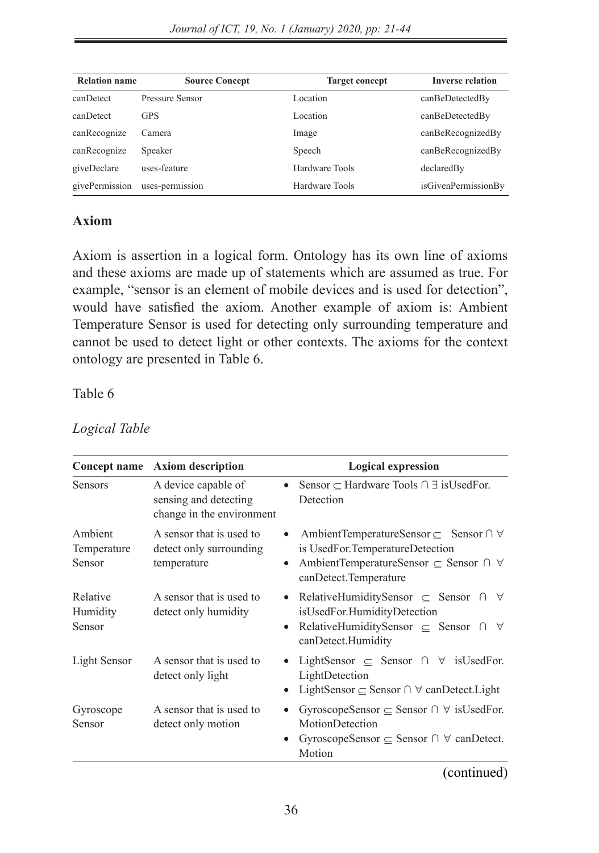| <b>Relation name</b> | <b>Source Concept</b> | <b>Target concept</b> | <b>Inverse relation</b> |
|----------------------|-----------------------|-----------------------|-------------------------|
| canDetect            | Pressure Sensor       | Location              | canBeDetectedBy         |
| canDetect            | <b>GPS</b>            | Location              | canBeDetectedBy         |
| canRecognize         | Camera                | Image                 | canBeRecognizedBy       |
| canRecognize         | Speaker               | Speech                | canBeRecognizedBy       |
| giveDeclare          | uses-feature          | Hardware Tools        | declaredBy              |
| givePermission       | uses-permission       | Hardware Tools        | isGivenPermissionBy     |

## **Axiom**

Axiom is assertion in a logical form. Ontology has its own line of axioms and these axioms are made up of statements which are assumed as true. For example, "sensor is an element of mobile devices and is used for detection", would have satisfied the axiom. Another example of axiom is: Ambient Temperature Sensor is used for detecting only surrounding temperature and cannot be used to detect light or other contexts. The axioms for the context ontology are presented in Table 6.

### Table 6

| Concept name                     | <b>Axiom description</b>                                                  |           | <b>Logical expression</b>                                                                                                                                                         |
|----------------------------------|---------------------------------------------------------------------------|-----------|-----------------------------------------------------------------------------------------------------------------------------------------------------------------------------------|
| <b>Sensors</b>                   | A device capable of<br>sensing and detecting<br>change in the environment |           | Sensor $\subset$ Hardware Tools $\cap$ $\exists$ is Used For.<br>Detection                                                                                                        |
| Ambient<br>Temperature<br>Sensor | A sensor that is used to<br>detect only surrounding<br>temperature        | $\bullet$ | AmbientTemperatureSensor $\subset$ Sensor $\cap$ $\forall$<br>is UsedFor.TemperatureDetection<br>AmbientTemperatureSensor ⊆ Sensor ∩ ∀<br>canDetect.Temperature                   |
| Relative<br>Humidity<br>Sensor   | A sensor that is used to<br>detect only humidity                          | $\bullet$ | RelativeHumiditySensor $\subset$ Sensor $\cap$<br>$\forall$<br>isUsedFor.HumidityDetection<br>RelativeHumiditySensor $\subseteq$ Sensor $\cap$<br>$\forall$<br>canDetect.Humidity |
| Light Sensor                     | A sensor that is used to<br>detect only light                             |           | LightSensor $\subseteq$ Sensor $\cap$ $\forall$ is Used For.<br>LightDetection<br>LightSensor $\subset$ Sensor $\cap$ $\forall$ canDetect. Light                                  |
| Gyroscope<br>Sensor              | A sensor that is used to<br>detect only motion                            |           | GyroscopeSensor $\subseteq$ Sensor $\cap$ $\forall$ is UsedFor.<br>MotionDetection<br>GyroscopeSensor $\subset$ Sensor $\cap$ $\forall$ canDetect.<br>Motion                      |

### *Logical Table*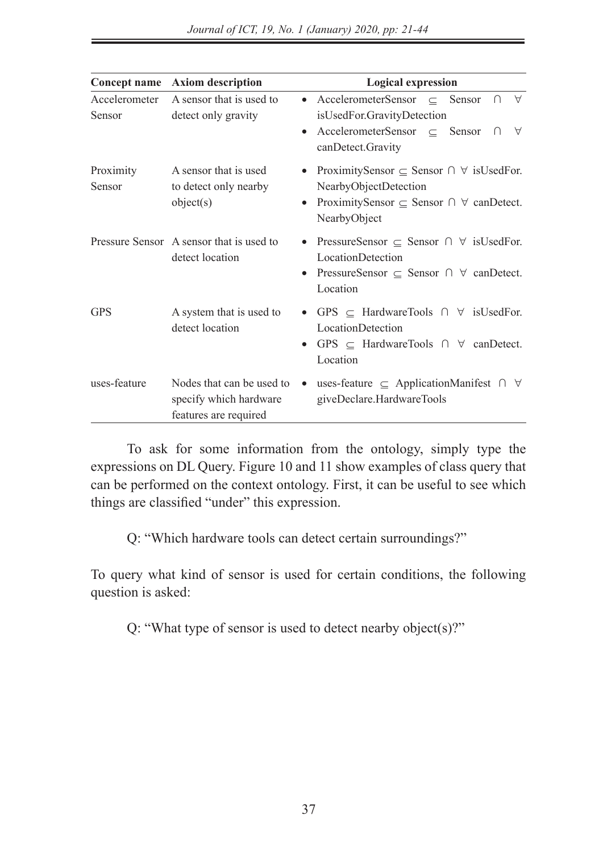|                         | Concept name Axiom description                                               | <b>Logical expression</b>                                                                                                                                                                                   |
|-------------------------|------------------------------------------------------------------------------|-------------------------------------------------------------------------------------------------------------------------------------------------------------------------------------------------------------|
| Accelerometer<br>Sensor | A sensor that is used to<br>detect only gravity                              | AccelerometerSensor $\subseteq$ Sensor<br>$\forall$<br>$\bigcap$<br>$\bullet$<br>isUsedFor.GravityDetection<br>AccelerometerSensor $\subseteq$ Sensor $\cap$<br>$\forall$<br>$\bullet$<br>canDetect.Gravity |
| Proximity<br>Sensor     | A sensor that is used<br>to detect only nearby<br>object(s)                  | ProximitySensor $\subseteq$ Sensor $\cap$ $\forall$ isUsedFor.<br>$\bullet$<br>NearbyObjectDetection<br>ProximitySensor $\subseteq$ Sensor $\cap$ $\forall$ canDetect.<br>$\bullet$<br>NearbyObject         |
|                         | Pressure Sensor A sensor that is used to<br>detect location                  | PressureSensor $\subset$ Sensor $\cap$ $\forall$ is UsedFor.<br>LocationDetection<br>PressureSensor $\subseteq$ Sensor $\cap$ $\forall$ canDetect.<br>$\bullet$<br>Location                                 |
| <b>GPS</b>              | A system that is used to<br>detect location                                  | • GPS $\subseteq$ HardwareTools $\cap$ $\forall$ is UsedFor.<br>LocationDetection<br>• GPS $\subseteq$ HardwareTools $\cap$ $\forall$ canDetect.<br>Location                                                |
| uses-feature            | Nodes that can be used to<br>specify which hardware<br>features are required | uses-feature $\subseteq$ ApplicationManifest $\cap$ $\forall$<br>$\bullet$<br>giveDeclare.HardwareTools                                                                                                     |

To ask for some information from the ontology, simply type the expressions on DL Query. Figure 10 and 11 show examples of class query that can be performed on the context ontology. First, it can be useful to see which things are classified "under" this expression.

Q: "Which hardware tools can detect certain surroundings?"

To query what kind of sensor is used for certain conditions, the following question is asked:

Q: "What type of sensor is used to detect nearby object(s)?"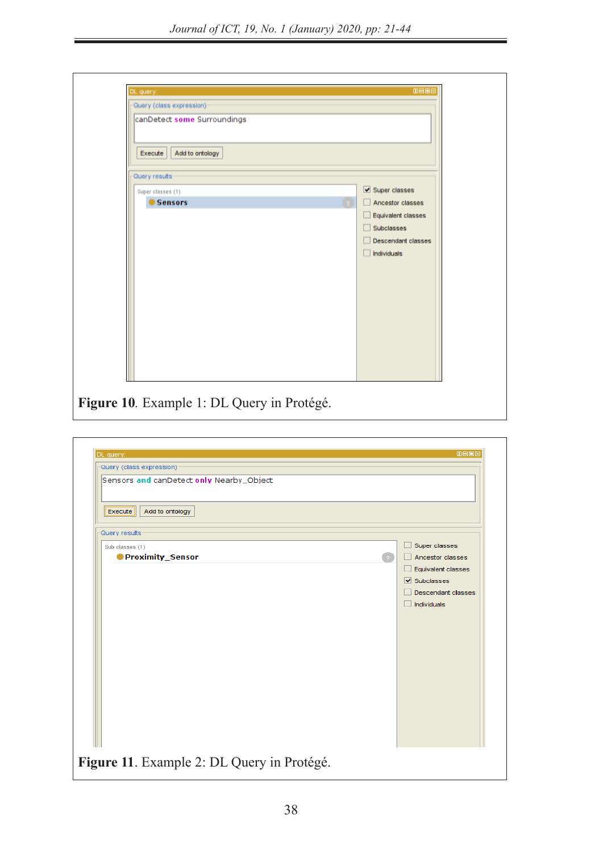$\overline{\phantom{a}}$  which hardware tools can detect certain surroundings?" Which has been detect certain surrounding surroundings?"

| DL query:                                                                          | <b>MB08</b>                                                                                                       |
|------------------------------------------------------------------------------------|-------------------------------------------------------------------------------------------------------------------|
| Query (class expression)<br>canDetect some Surroundings                            |                                                                                                                   |
| Add to ontology<br>Execute<br>Query results<br>Super olasses (1)<br><b>Sensors</b> | Super classes<br>Ancestor classes<br>Equivalent classes<br>Subclasses<br>Descendant classes<br>$\Box$ Individuals |

**Figure 10***.* Example 1: DL Query in Protégé. *Figure 10.* Example 1: DL Query in Protégé.

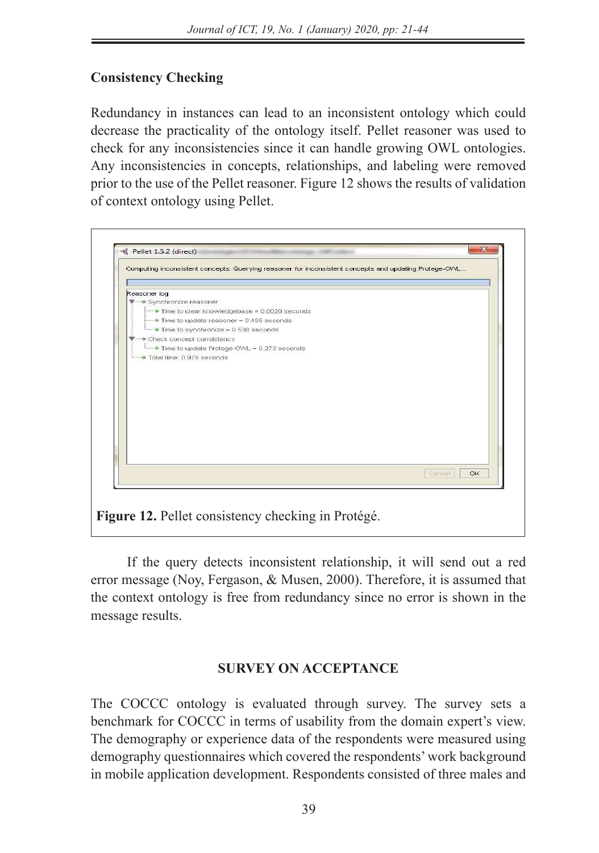# **Consistency Checking**

Redundancy in instances can lead to an inconsistent ontology which could decrease the practicality of the ontology itself. Pellet reasoner was used to check for any inconsistencies since it can handle growing OWL ontologies. Any inconsistencies in concepts, relationships, and labeling were removed prior to the use of the Pellet reasoner. Figure 12 shows the results of validation of context ontology using Pellet.



If the query detects inconsistent relationship, it will send out a red error message (Noy, Fergason, & Musen, 2000). Therefore, it is assumed that the context ontology is free from redundancy since no error is shown in the message results.

### **SURVEY ON ACCEPTANCE**

The COCCC ontology is evaluated through survey. The survey sets a benchmark for COCCC in terms of usability from the domain expert's view. The demography or experience data of the respondents were measured using demography questionnaires which covered the respondents' work background in mobile application development. Respondents consisted of three males and in mobile application development. Respondents consisted of three males and Android operating system was launched in 2008, about 10 years ago. Two respondents were involved in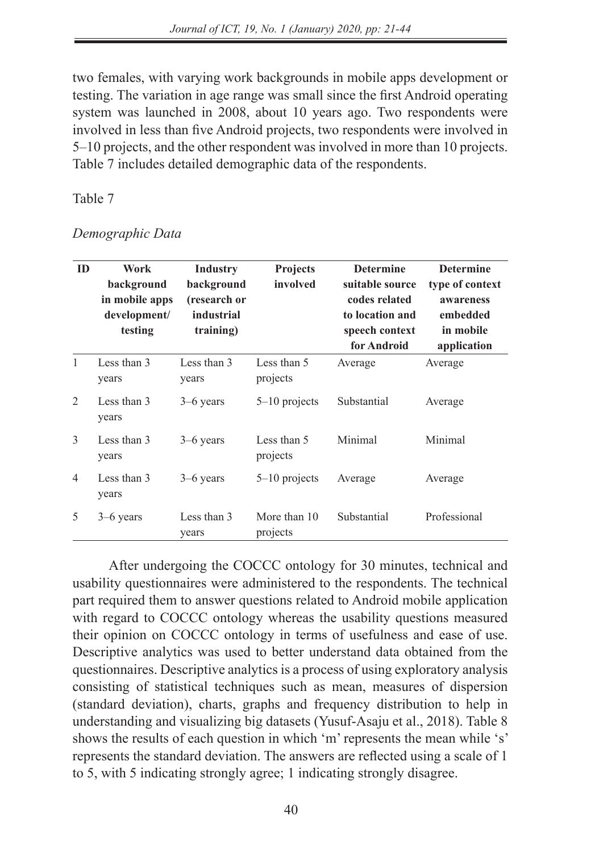two females, with varying work backgrounds in mobile apps development or testing. The variation in age range was small since the first Android operating system was launched in 2008, about 10 years ago. Two respondents were involved in less than five Android projects, two respondents were involved in 5–10 projects, and the other respondent was involved in more than 10 projects. Table 7 includes detailed demographic data of the respondents.

### Table 7

| ID             | Work<br>background<br>in mobile apps<br>development/<br>testing | Industry<br>background<br>(research or<br>industrial<br>training) | Projects<br>involved     | <b>Determine</b><br>suitable source<br>codes related<br>to location and<br>speech context<br>for Android | <b>Determine</b><br>type of context<br>awareness<br>embedded<br>in mobile<br>application |
|----------------|-----------------------------------------------------------------|-------------------------------------------------------------------|--------------------------|----------------------------------------------------------------------------------------------------------|------------------------------------------------------------------------------------------|
| 1              | Less than 3<br>years                                            | Less than 3<br>years                                              | Less than 5<br>projects  | Average                                                                                                  | Average                                                                                  |
| $\overline{2}$ | Less than 3<br>years                                            | $3-6$ years                                                       | $5-10$ projects          | Substantial                                                                                              | Average                                                                                  |
| 3              | Less than 3<br>years                                            | $3-6$ years                                                       | Less than 5<br>projects  | Minimal                                                                                                  | Minimal                                                                                  |
| 4              | Less than 3<br>years                                            | $3-6$ years                                                       | $5-10$ projects          | Average                                                                                                  | Average                                                                                  |
| 5              | $3-6$ years                                                     | Less than 3<br>years                                              | More than 10<br>projects | Substantial                                                                                              | Professional                                                                             |

#### *Demographic Data*

After undergoing the COCCC ontology for 30 minutes, technical and usability questionnaires were administered to the respondents. The technical part required them to answer questions related to Android mobile application with regard to COCCC ontology whereas the usability questions measured their opinion on COCCC ontology in terms of usefulness and ease of use. Descriptive analytics was used to better understand data obtained from the questionnaires. Descriptive analytics is a process of using exploratory analysis consisting of statistical techniques such as mean, measures of dispersion (standard deviation), charts, graphs and frequency distribution to help in understanding and visualizing big datasets (Yusuf-Asaju et al., 2018). Table 8 shows the results of each question in which 'm' represents the mean while 's' represents the standard deviation. The answers are reflected using a scale of 1 to 5, with 5 indicating strongly agree; 1 indicating strongly disagree.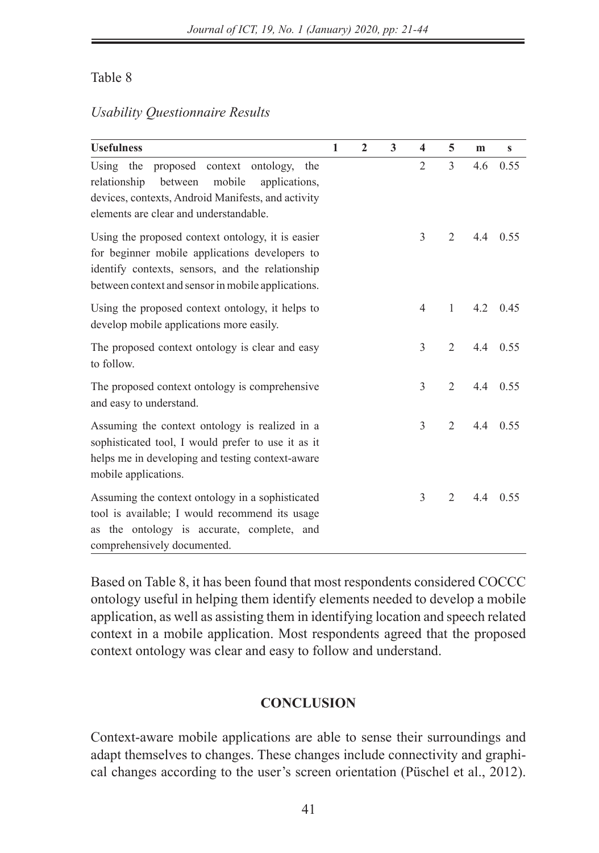## Table 8

## *Usability Questionnaire Results*

| <b>Usefulness</b>                                                                                                                                                                                             | 1 | $\mathbf{2}$ | 3 | $\overline{\mathbf{4}}$ | 5              | m   | $\mathbf{s}$ |
|---------------------------------------------------------------------------------------------------------------------------------------------------------------------------------------------------------------|---|--------------|---|-------------------------|----------------|-----|--------------|
| Using the<br>proposed context ontology,<br>the<br>relationship<br>between<br>mobile<br>applications.<br>devices, contexts, Android Manifests, and activity<br>elements are clear and understandable.          |   |              |   | $\overline{2}$          | 3              | 4.6 | 0.55         |
| Using the proposed context ontology, it is easier<br>for beginner mobile applications developers to<br>identify contexts, sensors, and the relationship<br>between context and sensor in mobile applications. |   |              |   | 3                       | $\overline{2}$ | 4.4 | 0.55         |
| Using the proposed context ontology, it helps to<br>develop mobile applications more easily.                                                                                                                  |   |              |   | $\overline{4}$          | 1              | 4.2 | 0.45         |
| The proposed context ontology is clear and easy<br>to follow.                                                                                                                                                 |   |              |   | 3                       | $\mathfrak{D}$ | 4.4 | 0.55         |
| The proposed context ontology is comprehensive<br>and easy to understand.                                                                                                                                     |   |              |   | 3                       | $\overline{2}$ | 4.4 | 0.55         |
| Assuming the context ontology is realized in a<br>sophisticated tool, I would prefer to use it as it<br>helps me in developing and testing context-aware<br>mobile applications.                              |   |              |   | 3                       | $\overline{2}$ | 4.4 | 0.55         |
| Assuming the context ontology in a sophisticated<br>tool is available; I would recommend its usage<br>as the ontology is accurate, complete, and<br>comprehensively documented.                               |   |              |   | 3                       | $\overline{2}$ | 4.4 | 0.55         |

Based on Table 8, it has been found that most respondents considered COCCC ontology useful in helping them identify elements needed to develop a mobile application, as well as assisting them in identifying location and speech related context in a mobile application. Most respondents agreed that the proposed context ontology was clear and easy to follow and understand.

## **CONCLUSION**

Context-aware mobile applications are able to sense their surroundings and adapt themselves to changes. These changes include connectivity and graphical changes according to the user's screen orientation (Püschel et al., 2012).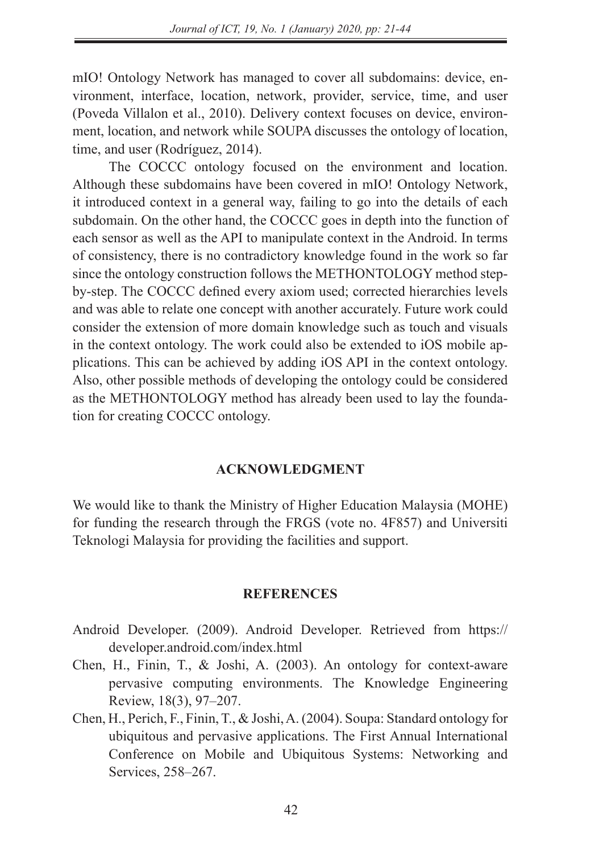mIO! Ontology Network has managed to cover all subdomains: device, environment, interface, location, network, provider, service, time, and user (Poveda Villalon et al., 2010). Delivery context focuses on device, environment, location, and network while SOUPA discusses the ontology of location, time, and user (Rodríguez, 2014).

The COCCC ontology focused on the environment and location. Although these subdomains have been covered in mIO! Ontology Network, it introduced context in a general way, failing to go into the details of each subdomain. On the other hand, the COCCC goes in depth into the function of each sensor as well as the API to manipulate context in the Android. In terms of consistency, there is no contradictory knowledge found in the work so far since the ontology construction follows the METHONTOLOGY method stepby-step. The COCCC defined every axiom used; corrected hierarchies levels and was able to relate one concept with another accurately. Future work could consider the extension of more domain knowledge such as touch and visuals in the context ontology. The work could also be extended to iOS mobile applications. This can be achieved by adding iOS API in the context ontology. Also, other possible methods of developing the ontology could be considered as the METHONTOLOGY method has already been used to lay the foundation for creating COCCC ontology.

#### **ACKNOWLEDGMENT**

We would like to thank the Ministry of Higher Education Malaysia (MOHE) for funding the research through the FRGS (vote no. 4F857) and Universiti Teknologi Malaysia for providing the facilities and support.

#### **REFERENCES**

- Android Developer. (2009). Android Developer. Retrieved from https:// developer.android.com/index.html
- Chen, H., Finin, T., & Joshi, A. (2003). An ontology for context-aware pervasive computing environments. The Knowledge Engineering Review, 18(3), 97–207.
- Chen, H., Perich, F., Finin, T., & Joshi, A. (2004). Soupa: Standard ontology for ubiquitous and pervasive applications. The First Annual International Conference on Mobile and Ubiquitous Systems: Networking and Services, 258–267.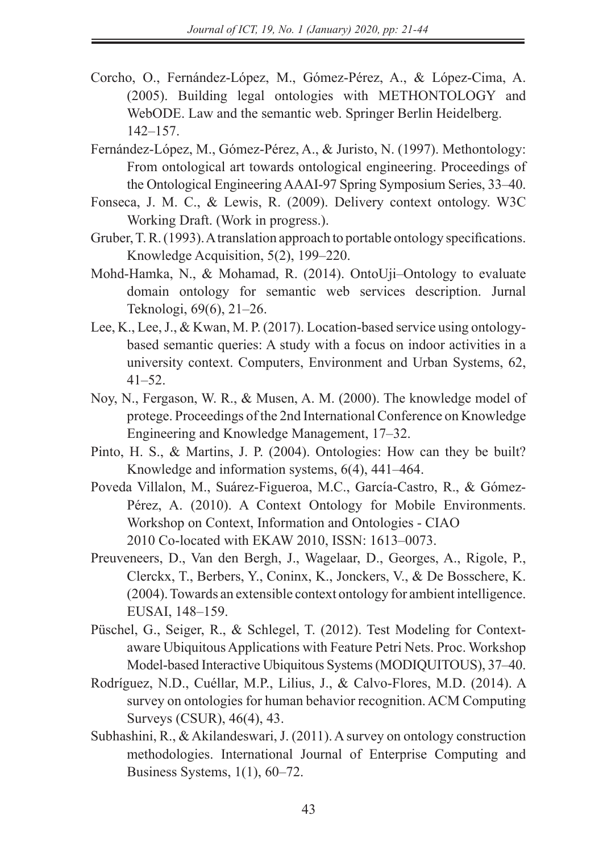- Corcho, O., Fernández-López, M., Gómez-Pérez, A., & López-Cima, A. (2005). Building legal ontologies with METHONTOLOGY and WebODE. Law and the semantic web. Springer Berlin Heidelberg. 142–157.
- Fernández-López, M., Gómez-Pérez, A., & Juristo, N. (1997). Methontology: From ontological art towards ontological engineering. Proceedings of the Ontological Engineering AAAI-97 Spring Symposium Series, 33–40.
- Fonseca, J. M. C., & Lewis, R. (2009). Delivery context ontology. W3C Working Draft. (Work in progress.).
- Gruber, T. R. (1993). A translation approach to portable ontology specifications. Knowledge Acquisition, 5(2), 199–220.
- Mohd-Hamka, N., & Mohamad, R. (2014). OntoUji–Ontology to evaluate domain ontology for semantic web services description. Jurnal Teknologi, 69(6), 21–26.
- Lee, K., Lee, J., & Kwan, M. P. (2017). Location-based service using ontologybased semantic queries: A study with a focus on indoor activities in a university context. Computers, Environment and Urban Systems, 62, 41–52.
- Noy, N., Fergason, W. R., & Musen, A. M. (2000). The knowledge model of protege. Proceedings of the 2nd International Conference on Knowledge Engineering and Knowledge Management, 17–32.
- Pinto, H. S., & Martins, J. P. (2004). Ontologies: How can they be built? Knowledge and information systems, 6(4), 441–464.
- Poveda Villalon, M., Suárez-Figueroa, M.C., García-Castro, R., & Gómez-Pérez, A. (2010). A Context Ontology for Mobile Environments. Workshop on Context, Information and Ontologies - CIAO 2010 Co-located with EKAW 2010, ISSN: 1613–0073.
- Preuveneers, D., Van den Bergh, J., Wagelaar, D., Georges, A., Rigole, P., Clerckx, T., Berbers, Y., Coninx, K., Jonckers, V., & De Bosschere, K. (2004). Towards an extensible context ontology for ambient intelligence. EUSAI, 148–159.
- Püschel, G., Seiger, R., & Schlegel, T. (2012). Test Modeling for Contextaware Ubiquitous Applications with Feature Petri Nets. Proc. Workshop Model-based Interactive Ubiquitous Systems (MODIQUITOUS), 37–40.
- Rodríguez, N.D., Cuéllar, M.P., Lilius, J., & Calvo-Flores, M.D. (2014). A survey on ontologies for human behavior recognition. ACM Computing Surveys (CSUR), 46(4), 43.
- Subhashini, R., & Akilandeswari, J. (2011). A survey on ontology construction methodologies. International Journal of Enterprise Computing and Business Systems, 1(1), 60–72.